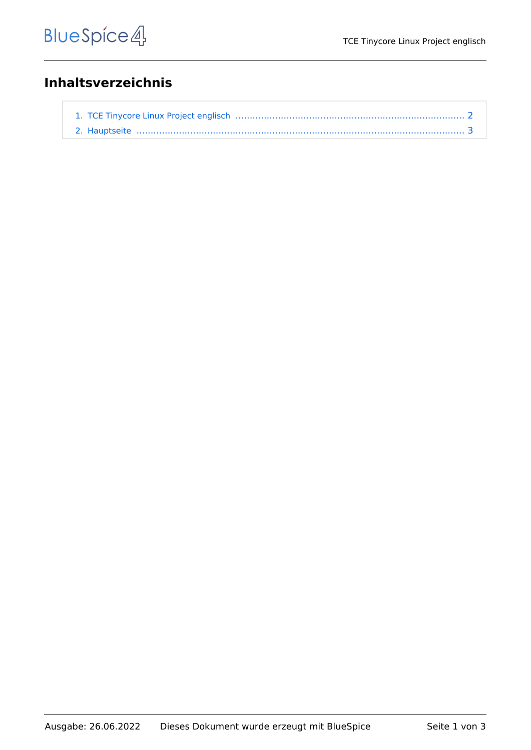## **Inhaltsverzeichnis**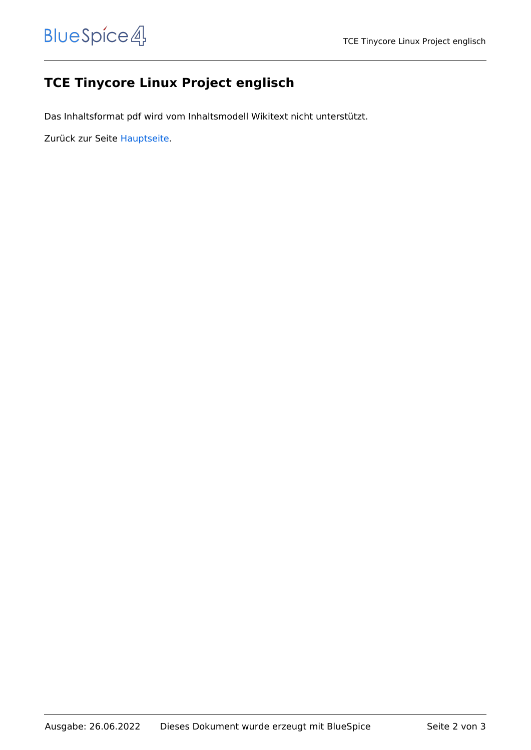## <span id="page-1-0"></span>**TCE Tinycore Linux Project englisch**

Das Inhaltsformat pdf wird vom Inhaltsmodell Wikitext nicht unterstützt.

Zurück zur Seite [Hauptseite.](#page-2-0)